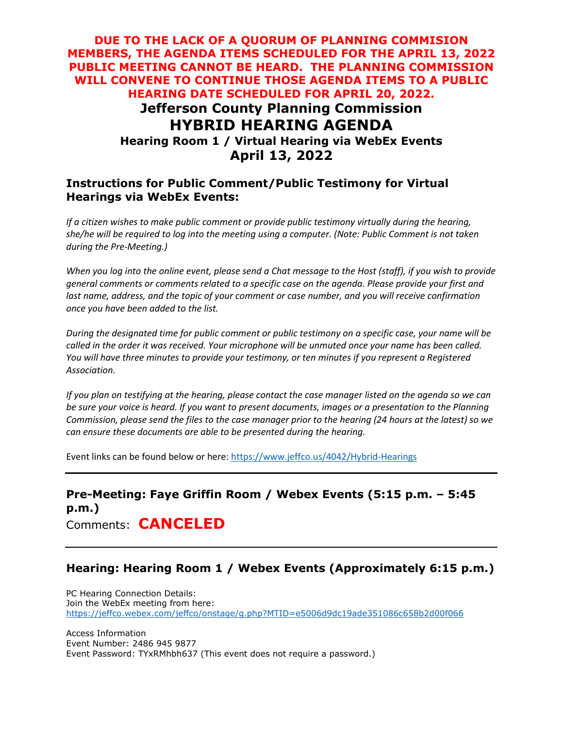## **DUE TO THE LACK OF A QUORUM OF PLANNING COMMISION MEMBERS, THE AGENDA ITEMS SCHEDULED FOR THE APRIL 13, 2022 PUBLIC MEETING CANNOT BE HEARD. THE PLANNING COMMISSION WILL CONVENE TO CONTINUE THOSE AGENDA ITEMS TO A PUBLIC HEARING DATE SCHEDULED FOR APRIL 20, 2022. Jefferson County Planning Commission HYBRID HEARING AGENDA Hearing Room 1 / Virtual Hearing via WebEx Events April 13, 2022**

#### **Instructions for Public Comment/Public Testimony for Virtual Hearings via WebEx Events:**

*If a citizen wishes to make public comment or provide public testimony virtually during the hearing, she/he will be required to log into the meeting using a computer. (Note: Public Comment is not taken during the Pre-Meeting.)*

*When you log into the online event, please send a Chat message to the Host (staff), if you wish to provide general comments or comments related to a specific case on the agenda. Please provide your first and*  last name, address, and the topic of your comment or case number, and you will receive confirmation *once you have been added to the list.*

*During the designated time for public comment or public testimony on a specific case, your name will be called in the order it was received. Your microphone will be unmuted once your name has been called. You will have three minutes to provide your testimony, or ten minutes if you represent a Registered Association.*

*If you plan on testifying at the hearing, please contact the case manager listed on the agenda so we can be sure your voice is heard. If you want to present documents, images or a presentation to the Planning Commission, please send the files to the case manager prior to the hearing (24 hours at the latest) so we can ensure these documents are able to be presented during the hearing.*

Event links can be found below or here:<https://www.jeffco.us/4042/Hybrid-Hearings>

## **Pre-Meeting: Faye Griffin Room / Webex Events (5:15 p.m. – 5:45 p.m.)** Comments: **CANCELED**

## **Hearing: Hearing Room 1 / Webex Events (Approximately 6:15 p.m.)**

PC Hearing Connection Details: Join the WebEx meeting from here: <https://jeffco.webex.com/jeffco/onstage/g.php?MTID=e5006d9dc19ade351086c658b2d00f066>

Access Information Event Number: 2486 945 9877 Event Password: TYxRMhbh637 (This event does not require a password.)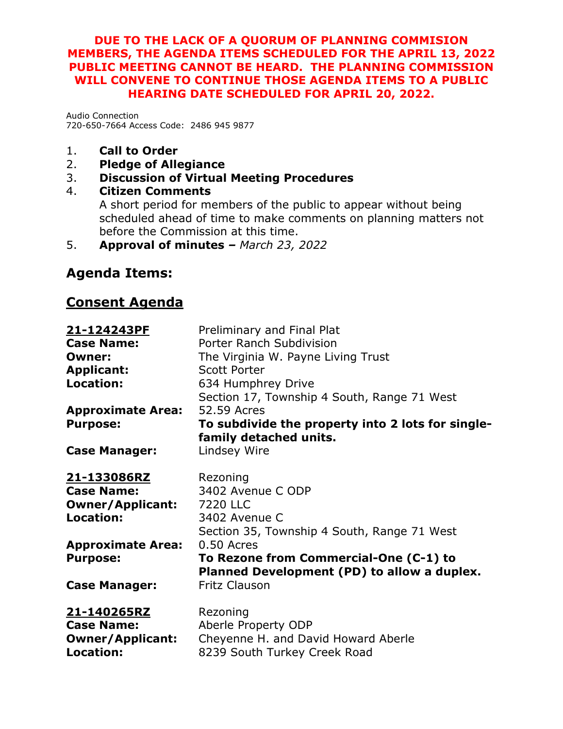## **DUE TO THE LACK OF A QUORUM OF PLANNING COMMISION MEMBERS, THE AGENDA ITEMS SCHEDULED FOR THE APRIL 13, 2022 PUBLIC MEETING CANNOT BE HEARD. THE PLANNING COMMISSION WILL CONVENE TO CONTINUE THOSE AGENDA ITEMS TO A PUBLIC HEARING DATE SCHEDULED FOR APRIL 20, 2022.**

Audio Connection 720-650-7664 Access Code: 2486 945 9877

- 1. **Call to Order**
- 2. **Pledge of Allegiance**
- 3. **Discussion of Virtual Meeting Procedures**
- 4. **Citizen Comments** A short period for members of the public to appear without being scheduled ahead of time to make comments on planning matters not before the Commission at this time.
- 5. **Approval of minutes** *– March 23, 2022*

# **Agenda Items:**

# **Consent Agenda**

| 21-124243PF              | Preliminary and Final Plat                        |
|--------------------------|---------------------------------------------------|
| <b>Case Name:</b>        | Porter Ranch Subdivision                          |
| <b>Owner:</b>            | The Virginia W. Payne Living Trust                |
| <b>Applicant:</b>        | Scott Porter                                      |
| <b>Location:</b>         | 634 Humphrey Drive                                |
|                          | Section 17, Township 4 South, Range 71 West       |
| <b>Approximate Area:</b> | 52.59 Acres                                       |
| <b>Purpose:</b>          | To subdivide the property into 2 lots for single- |
|                          | family detached units.                            |
| <b>Case Manager:</b>     | Lindsey Wire                                      |
|                          |                                                   |
| <u>21-133086RZ</u>       | Rezoning                                          |
| <b>Case Name:</b>        | 3402 Avenue C ODP                                 |
| <b>Owner/Applicant:</b>  | 7220 LLC                                          |
| <b>Location:</b>         | 3402 Avenue C                                     |
|                          | Section 35, Township 4 South, Range 71 West       |
| <b>Approximate Area:</b> | 0.50 Acres                                        |
| <b>Purpose:</b>          | To Rezone from Commercial-One (C-1) to            |
|                          | Planned Development (PD) to allow a duplex.       |
| <b>Case Manager:</b>     | <b>Fritz Clauson</b>                              |
| 21-140265RZ              | Rezoning                                          |
| <b>Case Name:</b>        | Aberle Property ODP                               |
| <b>Owner/Applicant:</b>  | Cheyenne H. and David Howard Aberle               |
| <b>Location:</b>         | 8239 South Turkey Creek Road                      |
|                          |                                                   |